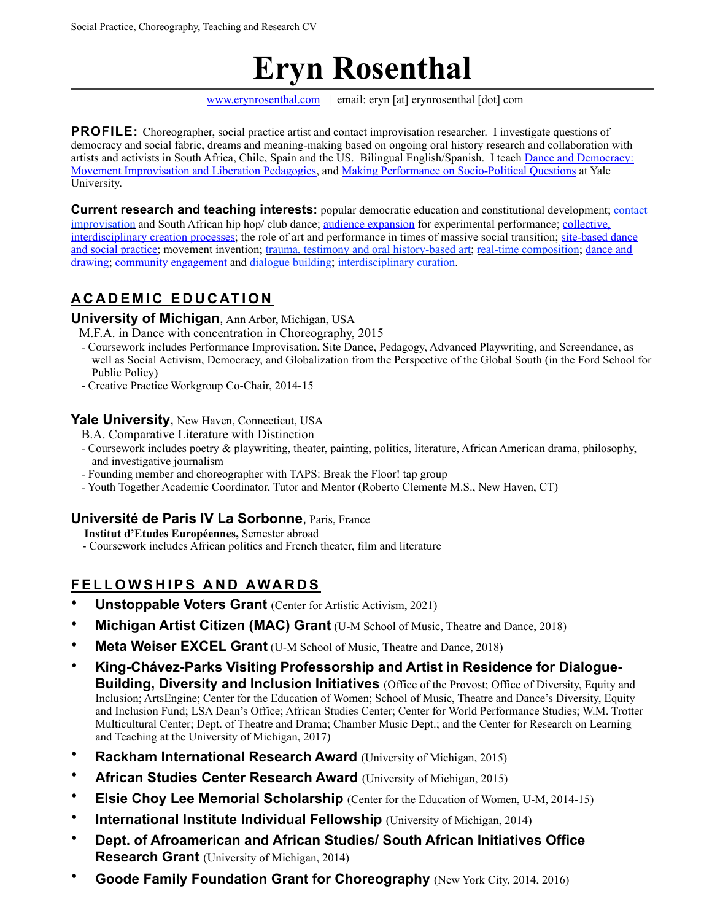# **Eryn Rosenthal**

[www.erynrosenthal.com](http://www.erynrosenthal.com) | email: eryn [at] erynrosenthal [dot] com

**PROFILE:** Choreographer, social practice artist and contact improvisation researcher. I investigate questions of democracy and social fabric, dreams and meaning-making based on ongoing oral history research and collaboration with artists and activists in South Africa, Chile, Spain and the US.Bilingual English/Spanish. I teach [Dance and Democracy:](https://erynrosenthal.com/dance-and-democracy/)  [Movement Improvisation and Liberation Pedagogies](https://erynrosenthal.com/dance-and-democracy/), and [Making Performance on Socio-Political Questions](https://erynrosenthal.com/making-performance-on-socio-political-questions/) at Yale University.

**Current research and teaching interests:** popular democratic education and constitutional development; [contact](http://erynrosenthal.com/contact-improvisation/)  [improvisation](http://erynrosenthal.com/contact-improvisation/) and South African hip hop/ club dance; [audience expansion](https://erynrosenthal.com/2018/04/root-vegetables/) for experimental performance; [collective,](https://erynrosenthal.com/crear-con-el-horizonte/)  [interdisciplinary creation processes](https://erynrosenthal.com/crear-con-el-horizonte/); the role of art and performance in times of massive social transition; [site-based dance](http://erynrosenthal.com/2016/01/au-bout-du-petit-matin/)  [and social practice;](http://erynrosenthal.com/2016/01/au-bout-du-petit-matin/) movement invention; [trauma, testimony and oral history-based art](http://erynrosenthal.com/2015/12/freedom-suite-transaction-being-processed/); [real-time composition;](http://erynrosenthal.com/real-time-composition/) dance and [drawing;](https://erynrosenthal.com/active-looking-the-body-in-dialogue-with-art/) [community engagement](http://erynrosenthal.com/2016/01/au-bout-du-petit-matin/) and [dialogue building](https://lsa.umich.edu/rc/news-events/all-news/search-news/rc-visiting-artist-and-student-honored-for-dei-work-at-luncheon-.html); [interdisciplinary curation.](http://erynrosenthal.com/category/playthespace/)

# **ACADEMIC EDUCATION**

## **University of Michigan**, Ann Arbor, Michigan, USA

M.F.A. in Dance with concentration in Choreography, 2015

- Coursework includes Performance Improvisation, Site Dance, Pedagogy, Advanced Playwriting, and Screendance, as well as Social Activism, Democracy, and Globalization from the Perspective of the Global South (in the Ford School for Public Policy)
- Creative Practice Workgroup Co-Chair, 2014-15

#### **Yale University**, New Haven, Connecticut, USA

B.A. Comparative Literature with Distinction

- Coursework includes poetry & playwriting, theater, painting, politics, literature, African American drama, philosophy, and investigative journalism
- Founding member and choreographer with TAPS: Break the Floor! tap group
- Youth Together Academic Coordinator, Tutor and Mentor (Roberto Clemente M.S., New Haven, CT)

## **Université de Paris IV La Sorbonne**, Paris, France

 **Institut d'Etudes Européennes,** Semester abroad

- Coursework includes African politics and French theater, film and literature

# **FELLOWSHIPS AND AWARDS**

- **Unstoppable Voters Grant** (Center for Artistic Activism, 2021)
- **Michigan Artist Citizen (MAC) Grant** (U-M School of Music, Theatre and Dance, 2018)
- **Meta Weiser EXCEL Grant** (U-M School of Music, Theatre and Dance, 2018)
- **King-Chávez-Parks Visiting Professorship and Artist in Residence for Dialogue-Building, Diversity and Inclusion Initiatives** (Office of the Provost; Office of Diversity, Equity and Inclusion; ArtsEngine; Center for the Education of Women; School of Music, Theatre and Dance's Diversity, Equity and Inclusion Fund; LSA Dean's Office; African Studies Center; Center for World Performance Studies; W.M. Trotter Multicultural Center; Dept. of Theatre and Drama; Chamber Music Dept.; and the Center for Research on Learning and Teaching at the University of Michigan, 2017)
- **Rackham International Research Award** (University of Michigan, 2015)
- **African Studies Center Research Award** (University of Michigan, 2015)
- **Elsie Choy Lee Memorial Scholarship** (Center for the Education of Women, U-M, 2014-15)
- **International Institute Individual Fellowship** (University of Michigan, 2014)
- **Dept. of Afroamerican and African Studies/ South African Initiatives Office Research Grant** (University of Michigan, 2014)
- **Goode Family Foundation Grant for Choreography** (New York City, 2014, 2016)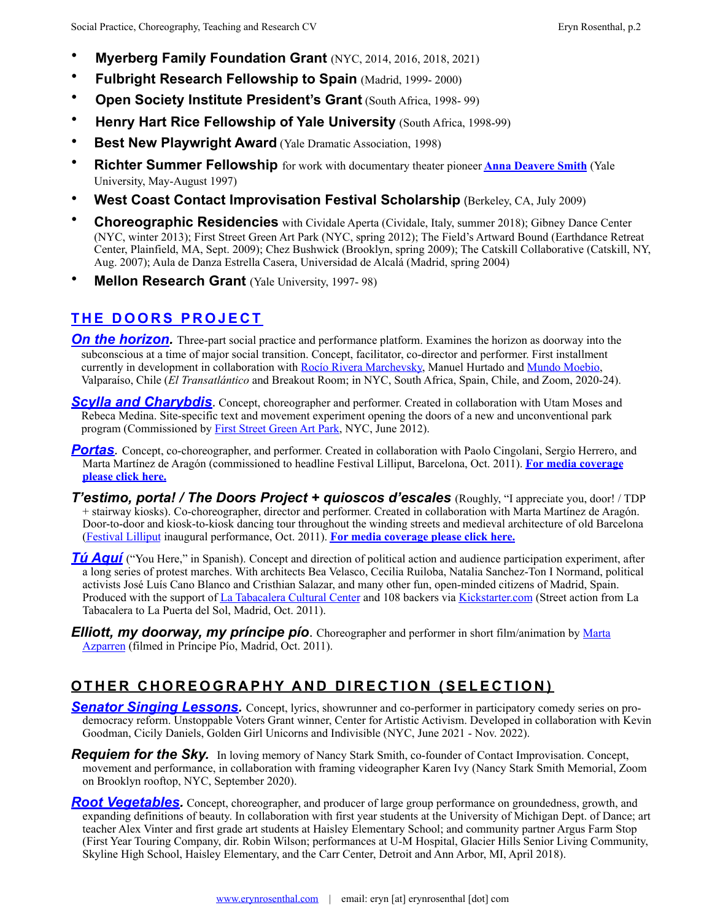- **Myerberg Family Foundation Grant** (NYC, 2014, 2016, 2018, 2021)
- **Fulbright Research Fellowship to Spain** (Madrid, 1999- 2000)
- **Open Society Institute President's Grant** (South Africa, 1998- 99)
- **Henry Hart Rice Fellowship of Yale University (South Africa, 1998-99)**
- **Best New Playwright Award** (Yale Dramatic Association, 1998)
- **Richter Summer Fellowship** for work with documentary theater pioneer **[Anna Deavere Smith](http://www.annadeaveresmithworks.org/bio)** (Yale University, May-August 1997)
- **West Coast Contact Improvisation Festival Scholarship** (Berkeley, CA, July 2009)
- **Choreographic Residencies** with Cividale Aperta (Cividale, Italy, summer 2018); Gibney Dance Center (NYC, winter 2013); First Street Green Art Park (NYC, spring 2012); The Field's Artward Bound (Earthdance Retreat Center, Plainfield, MA, Sept. 2009); Chez Bushwick (Brooklyn, spring 2009); The Catskill Collaborative (Catskill, NY, Aug. 2007); Aula de Danza Estrella Casera, Universidad de Alcalá (Madrid, spring 2004)
- **Mellon Research Grant** (Yale University, 1997- 98)

# **[THE DOORS PROJECT](http://www.thedoorsproject.net)**

- **[On the horizon.](https://erynrosenthal.com/crear-con-el-horizonte/)** Three-part social practice and performance platform. Examines the horizon as doorway into the subconscious at a time of major social transition. Concept, facilitator, co-director and performer. First installment currently in development in collaboration with [Rocío Rivera Marchevsky,](https://www.instagram.com/rocioriveramarchevsky/) Manuel Hurtado and [Mundo Moebio,](https://www.instagram.com/mundomoebio/) Valparaíso, Chile (*El Transatlántico* and Breakout Room; in NYC, South Africa, Spain, Chile, and Zoom, 2020-24).
- **[Scylla and Charybdis](http://erynrosenthal.com/2012/06/scylla-and-charybdis/)**. Concept, choreographer and performer. Created in collaboration with Utam Moses and Rebeca Medina. Site-specific text and movement experiment opening the doors of a new and unconventional park program (Commissioned by [First Street Green Art Park,](http://www.firststreetgreenpark.org/) NYC, June 2012).
- **[Portas](http://erynrosenthal.com/2011/10/portas/)** Concept, co-choreographer, and performer. Created in collaboration with Paolo Cingolani, Sergio Herrero, and Marta Martínez de Aragón (commissioned to headline Festival Lilliput, Barcelona, Oct. 2011). **[For media coverage](http://erynrosenthal.com/2011/11/media-love-for-the-doors-project/)  [please click here.](http://erynrosenthal.com/2011/11/media-love-for-the-doors-project/)**
- *T'estimo, porta! / The Doors Project + quioscos d'escales* (Roughly, "I appreciate you, door! / TDP + stairway kiosks). Co-choreographer, director and performer. Created in collaboration with Marta Martínez de Aragón. Door-to-door and kiosk-to-kiosk dancing tour throughout the winding streets and medieval architecture of old Barcelona [\(Festival Lilliput](http://www.festivallilliput.es) inaugural performance, Oct. 2011). **[For media coverage please click here.](http://erynrosenthal.com/2011/11/media-love-for-the-doors-project/)**
- *[Tú Aquí](http://erynrosenthal.com/2011/10/tu-aqui-adventures-through-a-doorframe/)* ("You Here," in Spanish). Concept and direction of political action and audience participation experiment, after a long series of protest marches. With architects Bea Velasco, Cecilia Ruiloba, Natalia Sanchez-Ton I Normand, political activists José Luís Cano Blanco and Cristhian Salazar, and many other fun, open-minded citizens of Madrid, Spain. Produced with the support of [La Tabacalera Cultural Center](http://erynrosenthal.com/2011/10/empujamos-juntos-el-marco-de-la-puerta-cuesta-arriba-hacia-la-puerta-del-sol/) and 108 backers via [Kickstarter.com](https://www.kickstarter.com/projects/574539617/the-doors-project/description) (Street action from La Tabacalera to La Puerta del Sol, Madrid, Oct. 2011).
- *Elliott, my doorway, my príncipe pío.* Choreographer and performer in short film/animation by Marta [Azparren](http://www.martaazparren.es/) (filmed in Príncipe Pío, Madrid, Oct. 2011).

# **OTHER CHOREOGRAPHY AND DIRECTION (SELECTION)**

- **[Senator Singing Lessons](http://www.SenatorSingingLessons.com)**. Concept, lyrics, showrunner and co-performer in participatory comedy series on prodemocracy reform. Unstoppable Voters Grant winner, Center for Artistic Activism. Developed in collaboration with Kevin Goodman, Cicily Daniels, Golden Girl Unicorns and Indivisible (NYC, June 2021 - Nov. 2022).
- *Requiem for the Sky.* In loving memory of Nancy Stark Smith, co-founder of Contact Improvisation. Concept, movement and performance, in collaboration with framing videographer Karen Ivy (Nancy Stark Smith Memorial, Zoom on Brooklyn rooftop, NYC, September 2020).
- *[Root Vegetables.](http://erynrosenthal.com/2018/04/root-vegetables/)* Concept, choreographer, and producer of large group performance on groundedness, growth, and expanding definitions of beauty. In collaboration with first year students at the University of Michigan Dept. of Dance; art teacher Alex Vinter and first grade art students at Haisley Elementary School; and community partner Argus Farm Stop (First Year Touring Company, dir. Robin Wilson; performances at U-M Hospital, Glacier Hills Senior Living Community, Skyline High School, Haisley Elementary, and the Carr Center, Detroit and Ann Arbor, MI, April 2018).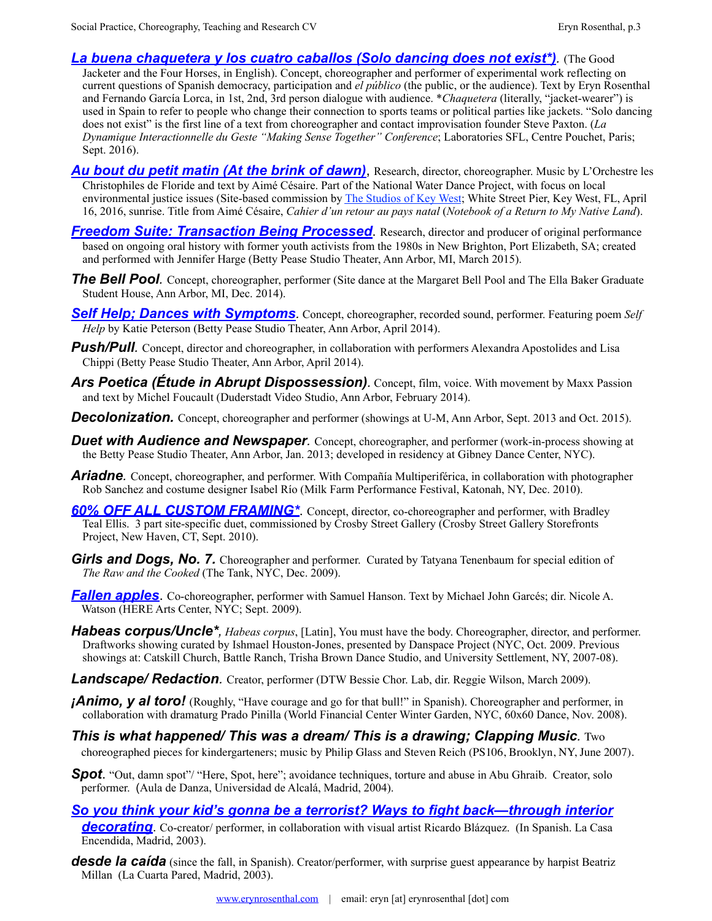*[La buena chaquetera y los cuatro caballos \(Solo dancing does not exist\\*\)](http://erynrosenthal.com/2016/09/chaquetera-solo-dancing-does-not-exist/).* (The Good

Jacketer and the Four Horses, in English). Concept, choreographer and performer of experimental work reflecting on current questions of Spanish democracy, participation and *el público* (the public, or the audience). Text by Eryn Rosenthal and Fernando García Lorca, in 1st, 2nd, 3rd person dialogue with audience. \**Chaquetera* (literally, "jacket-wearer") is used in Spain to refer to people who change their connection to sports teams or political parties like jackets. "Solo dancing does not exist" is the first line of a text from choreographer and contact improvisation founder Steve Paxton. (*La Dynamique Interactionnelle du Geste "Making Sense Together" Conference*; Laboratories SFL, Centre Pouchet, Paris; Sept. 2016).

- *[Au bout du petit matin \(At the brink of dawn\)](http://erynrosenthal.com/2016/01/au-bout-du-petit-matin/)*, Research, director, choreographer. Music by L'Orchestre les Christophiles de Floride and text by Aimé Césaire. Part of the National Water Dance Project, with focus on local environmental justice issues (Site-based commission by [The Studios of Key West](http://tskw.org/); White Street Pier, Key West, FL, April 16, 2016, sunrise. Title from Aimé Césaire, *Cahier d'un retour au pays natal* (*Notebook of a Return to My Native Land*).
- *[Freedom Suite: Transaction Being Processed](http://erynrosenthal.com/2015/12/freedom-suite-transaction-being-processed/).* Research, director and producer of original performance based on ongoing oral history with former youth activists from the 1980s in New Brighton, Port Elizabeth, SA; created and performed with Jennifer Harge (Betty Pease Studio Theater, Ann Arbor, MI, March 2015).
- *The Bell Pool.* Concept, choreographer, performer (Site dance at the Margaret Bell Pool and The Ella Baker Graduate Student House, Ann Arbor, MI, Dec. 2014).
- *[Self Help; Dances with Symptoms](http://erynrosenthal.com/2014/04/self-help-dances-with-symptoms/).* Concept, choreographer, recorded sound, performer. Featuring poem *Self Help* by Katie Peterson (Betty Pease Studio Theater, Ann Arbor, April 2014).
- *Push/Pull.* Concept, director and choreographer, in collaboration with performers Alexandra Apostolides and Lisa Chippi (Betty Pease Studio Theater, Ann Arbor, April 2014).
- Ars Poetica (Etude in Abrupt Dispossession). Concept, film, voice. With movement by Maxx Passion and text by Michel Foucault (Duderstadt Video Studio, Ann Arbor, February 2014).
- **Decolonization.** Concept, choreographer and performer (showings at U-M, Ann Arbor, Sept. 2013 and Oct. 2015).
- **Duet with Audience and Newspaper**. Concept, choreographer, and performer (work-in-process showing at the Betty Pease Studio Theater, Ann Arbor, Jan. 2013; developed in residency at Gibney Dance Center, NYC).
- *Ariadne.* Concept, choreographer, and performer. With Compañía Multiperiférica, in collaboration with photographer Rob Sanchez and costume designer Isabel Río (Milk Farm Performance Festival, Katonah, NY, Dec. 2010).
- **[60% OFF ALL CUSTOM FRAMING\\*](http://erynrosenthal.com/2010/10/60-off-all-custom-framing/)**. Concept, director, co-choreographer and performer, with Bradley Teal Ellis. 3 part site-specific duet, commissioned by Crosby Street Gallery (Crosby Street Gallery Storefronts Project, New Haven, CT, Sept. 2010).
- **Girls and Dogs, No. 7.** Choreographer and performer. Curated by Tatyana Tenenbaum for special edition of *The Raw and the Cooked* (The Tank, NYC, Dec. 2009).
- *[Fallen apples](http://erynrosenthal.com/2009/09/fallen-apples/)*. Co-choreographer, performer with Samuel Hanson. Text by Michael John Garcés; dir. Nicole A. Watson (HERE Arts Center, NYC; Sept. 2009).
- *Habeas corpus/Uncle\*, Habeas corpus*, [Latin], You must have the body. Choreographer, director, and performer. Draftworks showing curated by Ishmael Houston-Jones, presented by Danspace Project (NYC, Oct. 2009. Previous showings at: Catskill Church, Battle Ranch, Trisha Brown Dance Studio, and University Settlement, NY, 2007-08).
- *Landscape/ Redaction.* Creator, performer (DTW Bessie Chor. Lab, dir. Reggie Wilson, March 2009).
- *iAnimo, y al toro!* (Roughly, "Have courage and go for that bull!" in Spanish). Choreographer and performer, in collaboration with dramaturg Prado Pinilla (World Financial Center Winter Garden, NYC, 60x60 Dance, Nov. 2008).
- *This is what happened/ This was a dream/ This is a drawing; Clapping Music.* Two choreographed pieces for kindergarteners; music by Philip Glass and Steven Reich (PS106, Brooklyn, NY, June 2007).
- **Spot.** "Out, damn spot"/ "Here, Spot, here"; avoidance techniques, torture and abuse in Abu Ghraib. Creator, solo performer. (Aula de Danza, Universidad de Alcalá, Madrid, 2004).
- *[So you think your kid's gonna be a terrorist? Ways to fight back—through interior](http://erynrosenthal.com/2003/12/si-crees-que-tu-hijo-va-a-ser-terrorista-maneras-de-combatirlo-desde-la-decoracion/)  [decorating](http://erynrosenthal.com/2003/12/si-crees-que-tu-hijo-va-a-ser-terrorista-maneras-de-combatirlo-desde-la-decoracion/)*. Co-creator/ performer, in collaboration with visual artist Ricardo Blázquez. (In Spanish. La Casa Encendida, Madrid, 2003).
- **desde la caída** (since the fall, in Spanish). Creator/performer, with surprise guest appearance by harpist Beatriz Millan (La Cuarta Pared, Madrid, 2003).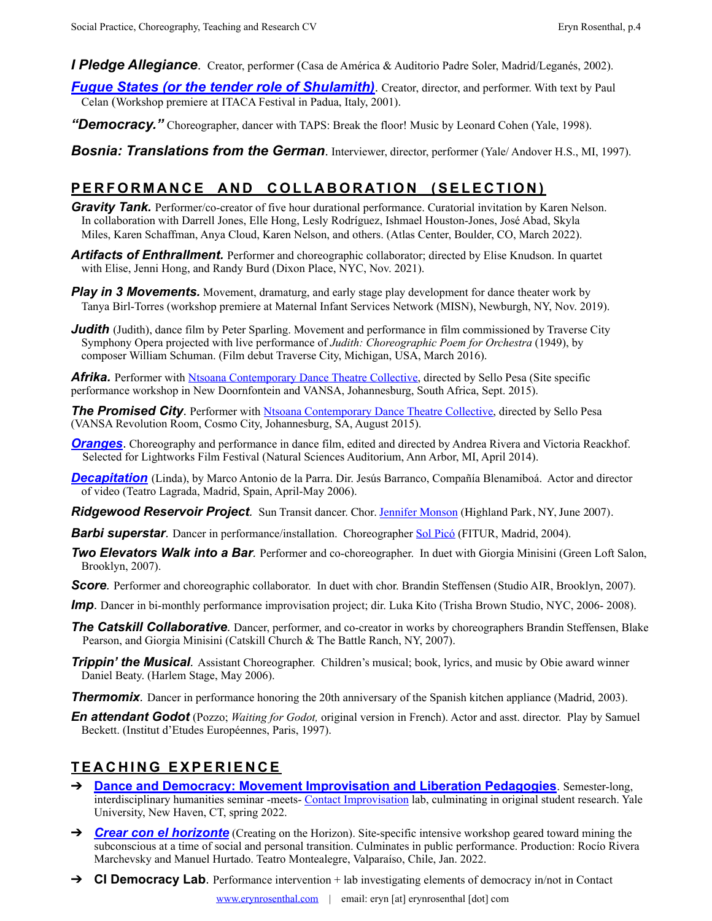*I Pledge Allegiance*. Creator, performer (Casa de América & Auditorio Padre Soler, Madrid/Leganés, 2002).

- *[Fugue States \(or the tender role of Shulamith\)](http://erynrosenthal.com/2001/09/fugue-states-or-the-tender-role-of-shulamith/#http://erynrosenthal.com/2001/09/fugue-states-or-the-tender-role-of-shulamith/)*. Creator, director, and performer. With text by Paul Celan (Workshop premiere at ITACA Festival in Padua, Italy, 2001).
- *"Democracy."* Choreographer, dancer with TAPS: Break the floor! Music by Leonard Cohen (Yale, 1998).

*Bosnia: Translations from the German*. Interviewer, director, performer (Yale/ Andover H.S., MI, 1997).

## **PERFORMANCE AND COLLABORATION (SELECTION)**

- *Gravity Tank.* Performer/co-creator of five hour durational performance. Curatorial invitation by Karen Nelson. In collaboration with Darrell Jones, Elle Hong, Lesly Rodríguez, Ishmael Houston-Jones, José Abad, Skyla Miles, Karen Schaffman, Anya Cloud, Karen Nelson, and others. (Atlas Center, Boulder, CO, March 2022).
- Artifacts of *Enthrallment*. Performer and choreographic collaborator; directed by Elise Knudson. In quartet with Elise, Jenni Hong, and Randy Burd (Dixon Place, NYC, Nov. 2021).
- **Play in 3 Movements.** Movement, dramaturg, and early stage play development for dance theater work by Tanya Birl-Torres (workshop premiere at Maternal Infant Services Network (MISN), Newburgh, NY, Nov. 2019).
- *Judith* (Judith), dance film by Peter Sparling. Movement and performance in film commissioned by Traverse City Symphony Opera projected with live performance of *Judith: Choreographic Poem for Orchestra* (1949), by composer William Schuman. (Film debut Traverse City, Michigan, USA, March 2016).

**Afrika.** Performer with [Ntsoana Contemporary Dance Theatre Collective,](http://www.ntsoana.co.za/) directed by Sello Pesa (Site specific performance workshop in New Doornfontein and VANSA, Johannesburg, South Africa, Sept. 2015).

*The Promised City*. Performer with [Ntsoana Contemporary Dance Theatre Collective](http://www.ntsoana.co.za/), directed by Sello Pesa (VANSA Revolution Room, Cosmo City, Johannesburg, SA, August 2015).

- *[Oranges](http://erynrosenthal.com/2014/03/oranges/)*. Choreography and performance in dance film, edited and directed by Andrea Rivera and Victoria Reackhof. Selected for Lightworks Film Festival (Natural Sciences Auditorium, Ann Arbor, MI, April 2014).
- *[Decapitation](http://erynrosenthal.com/2006/12/decapitation/)* (Linda), by Marco Antonio de la Parra. Dir. Jesús Barranco, Compañía Blenamiboá. Actor and director of video (Teatro Lagrada, Madrid, Spain, April-May 2006).
- *Ridgewood Reservoir Project.* Sun Transit dancer. Chor. [Jennifer Monson](http://ilandsymposium.wordpress.com/artist-biography/) (Highland Park, NY, June 2007).
- *Barbi superstar.* Dancer in performance/installation. Choreographer [Sol Picó](http://www.solpico.com/) (FITUR, Madrid, 2004).
- *Two Elevators Walk into a Bar.* Performer and co-choreographer. In duet with Giorgia Minisini (Green Loft Salon, Brooklyn, 2007).
- **Score**. Performer and choreographic collaborator. In duet with chor. Brandin Steffensen (Studio AIR, Brooklyn, 2007).
- *Imp*. Dancer in bi-monthly performance improvisation project; dir. Luka Kito (Trisha Brown Studio, NYC, 2006- 2008).
- *The Catskill Collaborative.* Dancer, performer, and co-creator in works by choreographers Brandin Steffensen, Blake Pearson, and Giorgia Minisini (Catskill Church & The Battle Ranch, NY, 2007).
- *Trippin' the Musical.* Assistant Choreographer. Children's musical; book, lyrics, and music by Obie award winner Daniel Beaty. (Harlem Stage, May 2006).
- **Thermomix***.* Dancer in performance honoring the 20th anniversary of the Spanish kitchen appliance (Madrid, 2003).
- *En attendant Godot* (Pozzo; *Waiting for Godot,* original version in French). Actor and asst. director. Play by Samuel Beckett. (Institut d'Etudes Européennes, Paris, 1997).

## **TEACHING EXPERIENCE**

- ➔ **[Dance and Democracy: Movement Improvisation and Liberation Pedagogies](https://erynrosenthal.com/dance-and-democracy/)**. Semester-long, interdisciplinary humanities seminar -meets- [Contact Improvisation](https://erynrosenthal.com/contact-improvisation/) lab, culminating in original student research. Yale University, New Haven, CT, spring 2022.
- **→ [Crear con el horizonte](https://erynrosenthal.com/crear-con-el-horizonte/)** (Creating on the Horizon). Site-specific intensive workshop geared toward mining the subconscious at a time of social and personal transition. Culminates in public performance. Production: Rocío Rivera Marchevsky and Manuel Hurtado. Teatro Montealegre, Valparaíso, Chile, Jan. 2022.
- ➔ **CI Democracy Lab**. Performance intervention + lab investigating elements of democracy in/not in Contact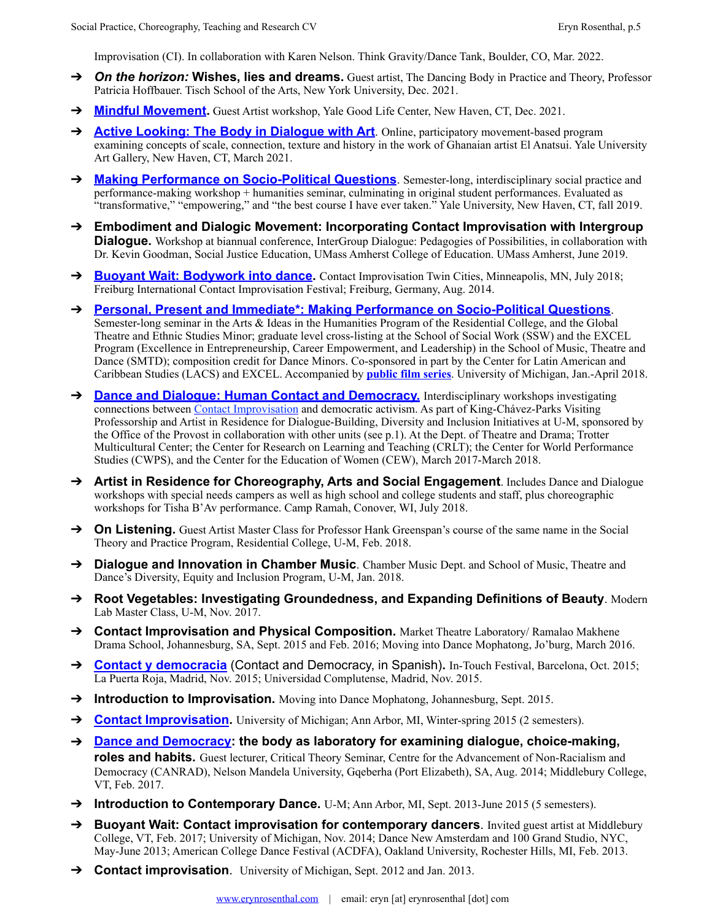Improvisation (CI). In collaboration with Karen Nelson. Think Gravity/Dance Tank, Boulder, CO, Mar. 2022.

- ➔ *On the horizon:* **Wishes, lies and dreams.** Guest artist, The Dancing Body in Practice and Theory, Professor Patricia Hoffbauer. Tisch School of the Arts, New York University, Dec. 2021.
- ➔ **[Mindful Movement](https://erynrosenthal.com/mindful-movement/).** Guest Artist workshop, Yale Good Life Center, New Haven, CT, Dec. 2021.
- → **[Active Looking: The Body in Dialogue with Art](http://erynrosenthal.com/active-looking-the-body-in-dialogue-with-art/)**. Online, participatory movement-based program examining concepts of scale, connection, texture and history in the work of Ghanaian artist El Anatsui. Yale University Art Gallery, New Haven, CT, March 2021.
- → **[Making Performance on Socio-Political Questions](http://erynrosenthal.com/making-performance-on-socio-political-questions/)**. Semester-long, interdisciplinary social practice and performance-making workshop + humanities seminar, culminating in original student performances. Evaluated as "transformative," "empowering," and "the best course I have ever taken." Yale University, New Haven, CT, fall 2019.
- ➔ **Embodiment and Dialogic Movement: Incorporating Contact Improvisation with Intergroup Dialogue.** Workshop at biannual conference, InterGroup Dialogue: Pedagogies of Possibilities, in collaboration with Dr. Kevin Goodman, Social Justice Education, UMass Amherst College of Education. UMass Amherst, June 2019.
- → **[Buoyant Wait: Bodywork into dance.](http://www.contactfestival.de/festival/14/14_descriptions.htm)** Contact Improvisation Twin Cities, Minneapolis, MN, July 2018; Freiburg International Contact Improvisation Festival; Freiburg, Germany, Aug. 2014.
- ➔ **[Personal, Present and Immediate\\*: Making Performance on Socio-Political Questions](http://erynrosenthal.com/personal-present-and-immediate-making-performance-on-socio-political-questions/)**. Semester-long seminar in the Arts & Ideas in the Humanities Program of the Residential College, and the Global Theatre and Ethnic Studies Minor; graduate level cross-listing at the School of Social Work (SSW) and the EXCEL Program (Excellence in Entrepreneurship, Career Empowerment, and Leadership) in the School of Music, Theatre and Dance (SMTD); composition credit for Dance Minors. Co-sponsored in part by the Center for Latin American and Caribbean Studies (LACS) and EXCEL. Accompanied by **[public film series](http://erynrosenthal.com/category/personal-present-and-immediate-film-series/)**. University of Michigan, Jan.-April 2018.
- → **[Dance and Dialogue: Human Contact and Democracy.](http://erynrosenthal.com/dance-and-dialogue-human-contact-and-democracy/)** Interdisciplinary workshops investigating connections between [Contact Improvisation](http://erynrosenthal.com/contact-improvisation/) and democratic activism. As part of King-Chávez-Parks Visiting Professorship and Artist in Residence for Dialogue-Building, Diversity and Inclusion Initiatives at U-M, sponsored by the Office of the Provost in collaboration with other units (see p.1). At the Dept. of Theatre and Drama; Trotter Multicultural Center; the Center for Research on Learning and Teaching (CRLT); the Center for World Performance Studies (CWPS), and the Center for the Education of Women (CEW), March 2017-March 2018.
- ➔ **Artist in Residence for Choreography, Arts and Social Engagement**. Includes Dance and Dialogue workshops with special needs campers as well as high school and college students and staff, plus choreographic workshops for Tisha B'Av performance. Camp Ramah, Conover, WI, July 2018.
- ➔ **On Listening.** Guest Artist Master Class for Professor Hank Greenspan's course of the same name in the Social Theory and Practice Program, Residential College, U-M, Feb. 2018.
- ➔ **Dialogue and Innovation in Chamber Music**. Chamber Music Dept. and School of Music, Theatre and Dance's Diversity, Equity and Inclusion Program, U-M, Jan. 2018.
- ➔ **Root Vegetables: Investigating Groundedness, and Expanding Definitions of Beauty**. Modern Lab Master Class, U-M, Nov. 2017.
- ➔ **Contact Improvisation and Physical Composition.** Market Theatre Laboratory/ Ramalao Makhene Drama School, Johannesburg, SA, Sept. 2015 and Feb. 2016; Moving into Dance Mophatong, Jo'burg, March 2016.
- → **[Contact y democracia](http://in-touch.es/en/in-touch-happenings/20-barcelona/384-contact-a-demogracy-eryn-rosenthal.html)** (Contact and Democracy, in Spanish). In-Touch Festival, Barcelona, Oct. 2015; La Puerta Roja, Madrid, Nov. 2015; Universidad Complutense, Madrid, Nov. 2015.
- ➔ **Introduction to Improvisation.** Moving into Dance Mophatong, Johannesburg, Sept. 2015.
- **→ [Contact Improvisation](http://erynrosenthal.com/contact-improvisation/).** University of Michigan; Ann Arbor, MI, Winter-spring 2015 (2 semesters).
- ➔ **[Dance and Democracy:](http://erynrosenthal.com/dance-and-democracy/) the body as laboratory for examining dialogue, choice-making, roles and habits.** Guest lecturer, Critical Theory Seminar, Centre for the Advancement of Non-Racialism and Democracy (CANRAD), Nelson Mandela University, Gqeberha (Port Elizabeth), SA, Aug. 2014; Middlebury College, VT, Feb. 2017.
- → **Introduction to Contemporary Dance.** U-M; Ann Arbor, MI, Sept. 2013-June 2015 (5 semesters).
- ➔ **Buoyant Wait: Contact improvisation for contemporary dancers**. Invited guest artist at Middlebury College, VT, Feb. 2017; University of Michigan, Nov. 2014; Dance New Amsterdam and 100 Grand Studio, NYC, May-June 2013; American College Dance Festival (ACDFA), Oakland University, Rochester Hills, MI, Feb. 2013.
- ➔ **Contact improvisation**. University of Michigan, Sept. 2012 and Jan. 2013.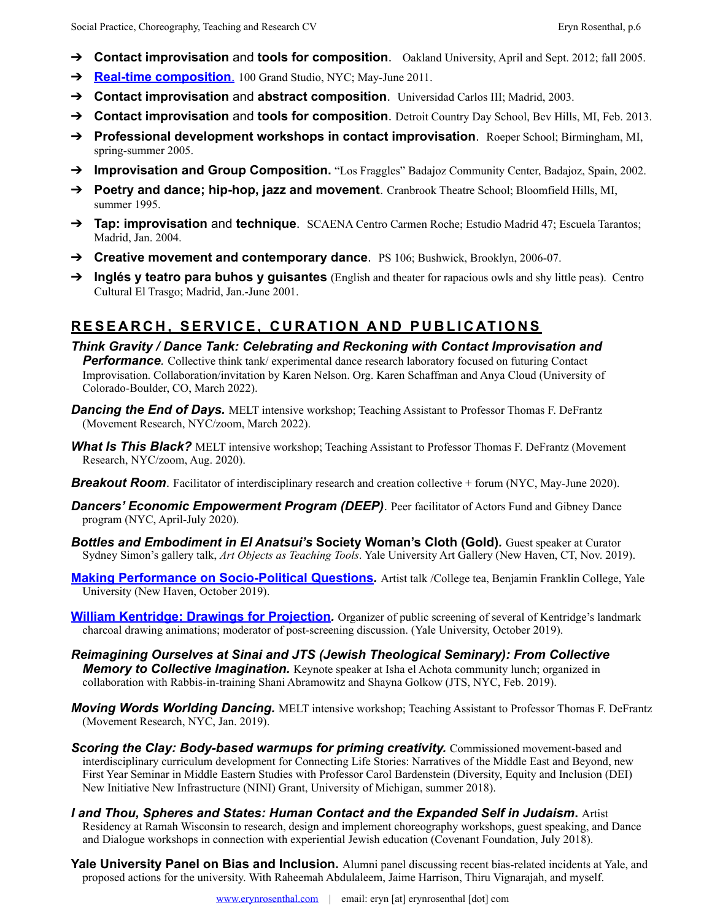- ➔ **Contact improvisation** and **tools for composition**. Oakland University, April and Sept. 2012; fall 2005.
- ➔ **[Real-time composition](http://erynrosenthal.com/real-time-composition/)**. 100 Grand Studio, NYC; May-June 2011.
- ➔ **Contact improvisation** and **abstract composition**. Universidad Carlos III; Madrid, 2003.
- ➔ **Contact improvisation** and **tools for composition**. Detroit Country Day School, Bev Hills, MI, Feb. 2013.
- ➔ **Professional development workshops in contact improvisation**. Roeper School; Birmingham, MI, spring-summer 2005.
- → **Improvisation and Group Composition.** "Los Fraggles" Badajoz Community Center, Badajoz, Spain, 2002.
- ➔ **Poetry and dance; hip-hop, jazz and movement**. Cranbrook Theatre School; Bloomfield Hills, MI, summer 1995.
- ➔ **Tap: improvisation** and **technique**. SCAENA Centro Carmen Roche; Estudio Madrid 47; Escuela Tarantos; Madrid, Jan. 2004.
- ➔ **Creative movement and contemporary dance**. PS 106; Bushwick, Brooklyn, 2006-07.
- ➔ **Inglés y teatro para buhos y guisantes** (English and theater for rapacious owls and shy little peas). Centro Cultural El Trasgo; Madrid, Jan.-June 2001.

# **RESEARCH, SERVICE, CURATION AND PUBLICATIONS**

- *Think Gravity / Dance Tank: Celebrating and Reckoning with Contact Improvisation and*  **Performance**. Collective think tank/ experimental dance research laboratory focused on futuring Contact Improvisation. Collaboration/invitation by Karen Nelson. Org. Karen Schaffman and Anya Cloud (University of Colorado-Boulder, CO, March 2022).
- **Dancing the End of Days.** MELT intensive workshop; Teaching Assistant to Professor Thomas F. DeFrantz (Movement Research, NYC/zoom, March 2022).
- **What Is This Black?** MELT intensive workshop; Teaching Assistant to Professor Thomas F. DeFrantz (Movement Research, NYC/zoom, Aug. 2020).
- *Breakout Room.* Facilitator of interdisciplinary research and creation collective + forum (NYC, May-June 2020).
- **Dancers' Economic Empowerment Program (DEEP)**. Peer facilitator of Actors Fund and Gibney Dance program (NYC, April-July 2020).
- *Bottles and Embodiment in El Anatsui's* **Society Woman's Cloth (Gold)***.* Guest speaker at Curator Sydney Simon's gallery talk, *Art Objects as Teaching Tools*. Yale University Art Gallery (New Haven, CT, Nov. 2019).
- **[Making Performance on Socio-Political Questions](http://erynrosenthal.com/wp-content/uploads/2019/10/Eryn-Rosenthal-Yale-College-Tea-poster-29oct19-lowerres.jpg)***.* Artist talk /College tea, Benjamin Franklin College, Yale University (New Haven, October 2019).
- **[William Kentridge: Drawings for Projection](http://erynrosenthal.com/wp-content/uploads/2019/10/William-Kentridge-Yale-Screening-24oct19-medres.jpg)**. Organizer of public screening of several of Kentridge's landmark charcoal drawing animations; moderator of post-screening discussion. (Yale University, October 2019).
- *Reimagining Ourselves at Sinai and JTS (Jewish Theological Seminary): From Collective*  **Memory to Collective Imagination.** Keynote speaker at Isha el Achota community lunch; organized in collaboration with Rabbis-in-training Shani Abramowitz and Shayna Golkow (JTS, NYC, Feb. 2019).
- *Moving Words Worlding Dancing.* MELT intensive workshop; Teaching Assistant to Professor Thomas F. DeFrantz (Movement Research, NYC, Jan. 2019).
- **Scoring the Clay: Body-based warmups for priming creativity.** Commissioned movement-based and interdisciplinary curriculum development for Connecting Life Stories: Narratives of the Middle East and Beyond, new First Year Seminar in Middle Eastern Studies with Professor Carol Bardenstein (Diversity, Equity and Inclusion (DEI) New Initiative New Infrastructure (NINI) Grant, University of Michigan, summer 2018).
- *I and Thou, Spheres and States: Human Contact and the Expanded Self in Judaism***.** Artist Residency at Ramah Wisconsin to research, design and implement choreography workshops, guest speaking, and Dance and Dialogue workshops in connection with experiential Jewish education (Covenant Foundation, July 2018).
- **Yale University Panel on Bias and Inclusion.** Alumni panel discussing recent bias-related incidents at Yale, and proposed actions for the university. With Raheemah Abdulaleem, Jaime Harrison, Thiru Vignarajah, and myself.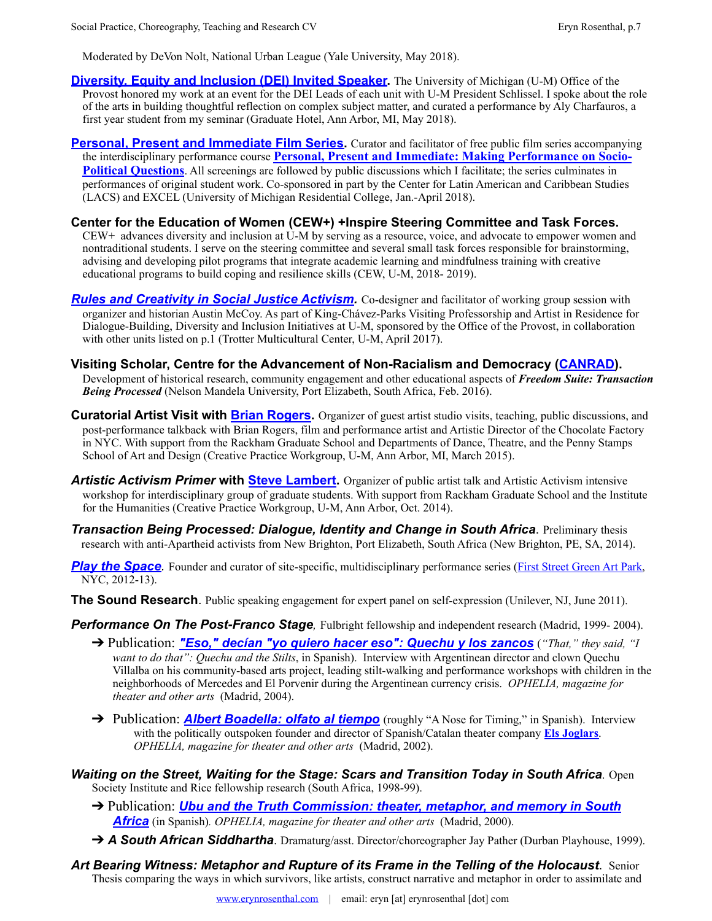Moderated by DeVon Nolt, National Urban League (Yale University, May 2018).

- **Diversity. Equity and Inclusion (DEI) Invited Speaker.** The University of Michigan (U-M) Office of the Provost honored my work at an event for the DEI Leads of each unit with U-M President Schlissel. I spoke about the role of the arts in building thoughtful reflection on complex subject matter, and curated a performance by Aly Charfauros, a first year student from my seminar (Graduate Hotel, Ann Arbor, MI, May 2018).
- **[Personal, Present and Immediate Film Series.](http://erynrosenthal.com/category/personal-present-and-immediate-film-series/)** Curator and facilitator of free public film series accompanying the interdisciplinary performance course **[Personal, Present and Immediate: Making Performance on Socio-](http://erynrosenthal.com/personal-present-and-immediate-making-performance-on-socio-political-questions/)[Political Questions](http://erynrosenthal.com/personal-present-and-immediate-making-performance-on-socio-political-questions/)**. All screenings are followed by public discussions which I facilitate; the series culminates in performances of original student work. Co-sponsored in part by the Center for Latin American and Caribbean Studies (LACS) and EXCEL (University of Michigan Residential College, Jan.-April 2018).

#### **Center for the Education of Women (CEW+) +Inspire Steering Committee and Task Forces.**

CEW+ advances diversity and inclusion at U-M by serving as a resource, voice, and advocate to empower women and nontraditional students. I serve on the steering committee and several small task forces responsible for brainstorming, advising and developing pilot programs that integrate academic learning and mindfulness training with creative educational programs to build coping and resilience skills (CEW, U-M, 2018- 2019).

- *[Rules and Creativity in Social Justice Activism.](http://erynrosenthal.com/rules-and-creativity-in-social-justice-activism/)* Co-designer and facilitator of working group session with organizer and historian Austin McCoy. As part of King-Chávez-Parks Visiting Professorship and Artist in Residence for Dialogue-Building, Diversity and Inclusion Initiatives at U-M, sponsored by the Office of the Provost, in collaboration with other units listed on p.1 (Trotter Multicultural Center, U-M, April 2017).
- **Visiting Scholar, Centre for the Advancement of Non-Racialism and Democracy ([CANRAD\)](http://canrad.nmmu.ac.za/).**Development of historical research, community engagement and other educational aspects of *Freedom Suite: Transaction Being Processed* (Nelson Mandela University, Port Elizabeth, South Africa, Feb. 2016).
- **Curatorial Artist Visit with [Brian Rogers.](http://www.chocolatefactorytheater.org/redesign/about/staff-board/)** Organizer of guest artist studio visits, teaching, public discussions, and post-performance talkback with Brian Rogers, film and performance artist and Artistic Director of the Chocolate Factory in NYC. With support from the Rackham Graduate School and Departments of Dance, Theatre, and the Penny Stamps School of Art and Design (Creative Practice Workgroup, U-M, Ann Arbor, MI, March 2015).
- *Artistic Activism Primer* **with [Steve Lambert](http://visitsteve.com/).** Organizer of public artist talk and Artistic Activism intensive workshop for interdisciplinary group of graduate students. With support from Rackham Graduate School and the Institute for the Humanities (Creative Practice Workgroup, U-M, Ann Arbor, Oct. 2014).
- *Transaction Being Processed: Dialogue, Identity and Change in South Africa*. Preliminary thesis research with anti-Apartheid activists from New Brighton, Port Elizabeth, South Africa (New Brighton, PE, SA, 2014).

**[Play the Space](http://erynrosenthal.com/category/playthespace/)**. Founder and curator of site-specific, multidisciplinary performance series [\(First Street Green Art Park,](http://www.firststreetgreenpark.org/) NYC, 2012-13).

**The Sound Research**. Public speaking engagement for expert panel on self-expression (Unilever, NJ, June 2011).

**Performance On The Post-Franco Stage**, Fulbright fellowship and independent research (Madrid, 1999-2004).

- → Publication: "*Eso*," decían "yo quiero hacer eso": Quechu y los zancos ("That," they said, "I *want to do that": Quechu and the Stilts*, in Spanish). Interview with Argentinean director and clown Quechu Villalba on his community-based arts project, leading stilt-walking and performance workshops with children in the neighborhoods of Mercedes and El Porvenir during the Argentinean currency crisis. *OPHELIA, magazine for theater and other arts* (Madrid, 2004).
- → Publication: **[Albert Boadella: olfato al tiempo](http://erynrosenthal.com/albert-boadella-olfato-al-tiempo/)** (roughly "A Nose for Timing," in Spanish). Interview with the politically outspoken founder and director of Spanish/Catalan theater company **[Els Joglars](http://www.elsjoglars.com/)**. *OPHELIA, magazine for theater and other arts* (Madrid, 2002).
- *Waiting on the Street, Waiting for the Stage: Scars and Transition Today in South Africa*. Open Society Institute and Rice fellowship research (South Africa, 1998-99).
	- ➔ Publication: *[Ubu and the Truth Commission: theater, metaphor, and memory in South](http://erynrosenthal.com/ubu-y-la-comision-de-la-verdad-teatro-metafora-y-memoria-en-sudafrica/)  [Africa](http://erynrosenthal.com/ubu-y-la-comision-de-la-verdad-teatro-metafora-y-memoria-en-sudafrica/)* (in Spanish)*. OPHELIA, magazine for theater and other arts* (Madrid, 2000).
	- **→ A South African Siddhartha**. Dramaturg/asst. Director/choreographer Jay Pather (Durban Playhouse, 1999).
- *Art Bearing Witness: Metaphor and Rupture of its Frame in the Telling of the Holocaust*. Senior Thesis comparing the ways in which survivors, like artists, construct narrative and metaphor in order to assimilate and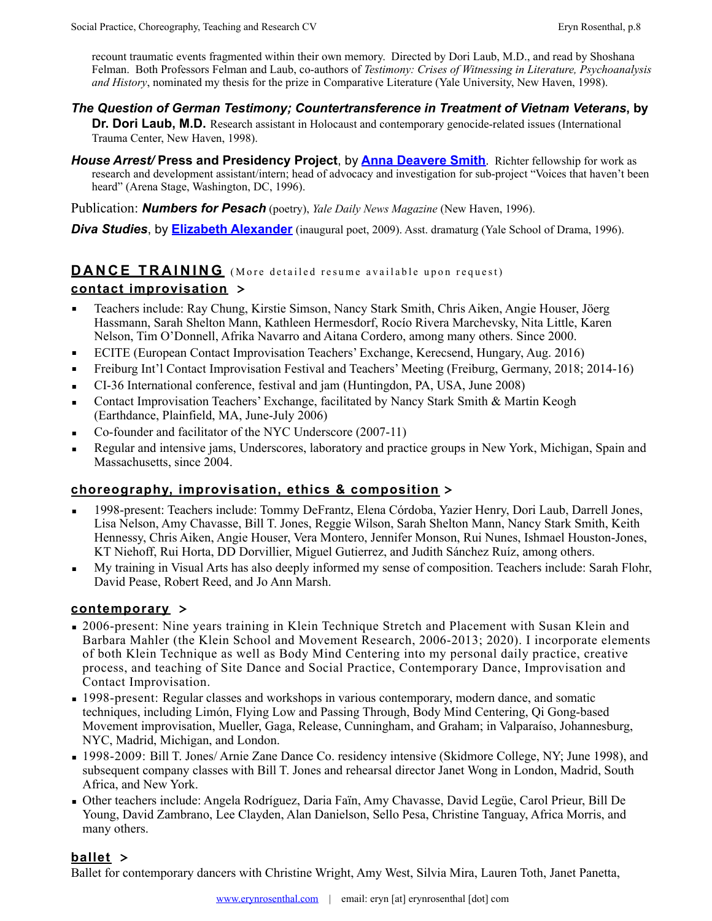recount traumatic events fragmented within their own memory. Directed by Dori Laub, M.D., and read by Shoshana Felman. Both Professors Felman and Laub, co-authors of *Testimony: Crises of Witnessing in Literature, Psychoanalysis and History*, nominated my thesis for the prize in Comparative Literature (Yale University, New Haven, 1998).

*The Question of German Testimony; Countertransference in Treatment of Vietnam Veterans***, by** 

**Dr. Dori Laub, M.D.** Research assistant in Holocaust and contemporary genocide-related issues (International Trauma Center, New Haven, 1998).

*House Arrest/* **Press and Presidency Project**, by **[Anna Deavere Smith](http://www.annadeaveresmithworks.org/bio)**. Richter fellowship for work as research and development assistant/intern; head of advocacy and investigation for sub-project "Voices that haven't been heard" (Arena Stage, Washington, DC, 1996).

Publication: *Numbers for Pesach* (poetry), *Yale Daily News Magazine* (New Haven, 1996).

**Diva Studies**, by **[Elizabeth Alexander](http://elizabethalexander.net/home.html)** (inaugural poet, 2009). Asst. dramaturg (Yale School of Drama, 1996).

## **DANCE TRAINING** (More detailed resume available upon request) **contact improvisation >**

- Teachers include: Ray Chung, Kirstie Simson, Nancy Stark Smith, Chris Aiken, Angie Houser, Jöerg Hassmann, Sarah Shelton Mann, Kathleen Hermesdorf, Rocío Rivera Marchevsky, Nita Little, Karen Nelson, Tim O'Donnell, Afrika Navarro and Aitana Cordero, among many others. Since 2000.
- ECITE (European Contact Improvisation Teachers' Exchange, Kerecsend, Hungary, Aug. 2016)
- Freiburg Int'l Contact Improvisation Festival and Teachers' Meeting (Freiburg, Germany, 2018; 2014-16)
- CI-36 International conference, festival and jam (Huntingdon, PA, USA, June 2008)
- Contact Improvisation Teachers' Exchange, facilitated by Nancy Stark Smith & Martin Keogh (Earthdance, Plainfield, MA, June-July 2006)
- Co-founder and facilitator of the NYC Underscore (2007-11)
- **•** Regular and intensive jams, Underscores, laboratory and practice groups in New York, Michigan, Spain and Massachusetts, since 2004.

## **choreography, improvisation, ethics & composition >**

- 1998-present: Teachers include: Tommy DeFrantz, Elena Córdoba, Yazier Henry, Dori Laub, Darrell Jones, Lisa Nelson, Amy Chavasse, Bill T. Jones, Reggie Wilson, Sarah Shelton Mann, Nancy Stark Smith, Keith Hennessy, Chris Aiken, Angie Houser, Vera Montero, Jennifer Monson, Rui Nunes, Ishmael Houston-Jones, KT Niehoff, Rui Horta, DD Dorvillier, Miguel Gutierrez, and Judith Sánchez Ruíz, among others.
- My training in Visual Arts has also deeply informed my sense of composition. Teachers include: Sarah Flohr, David Pease, Robert Reed, and Jo Ann Marsh.

## **contemporary >**

- $\bullet$  2006-present: Nine years training in Klein Technique Stretch and Placement with Susan Klein and Barbara Mahler (the Klein School and Movement Research, 2006-2013; 2020). I incorporate elements of both Klein Technique as well as Body Mind Centering into my personal daily practice, creative process, and teaching of Site Dance and Social Practice, Contemporary Dance, Improvisation and Contact Improvisation.
- **1998-present: Regular classes and workshops in various contemporary, modern dance, and somatic** techniques, including Limón, Flying Low and Passing Through, Body Mind Centering, Qi Gong-based Movement improvisation, Mueller, Gaga, Release, Cunningham, and Graham; in Valparaíso, Johannesburg, NYC, Madrid, Michigan, and London.
- 1998-2009: Bill T. Jones/ Arnie Zane Dance Co. residency intensive (Skidmore College, NY; June 1998), and subsequent company classes with Bill T. Jones and rehearsal director Janet Wong in London, Madrid, South Africa, and New York.
- Other teachers include: Angela Rodríguez, Daria Faïn, Amy Chavasse, David Legüe, Carol Prieur, Bill De Young, David Zambrano, Lee Clayden, Alan Danielson, Sello Pesa, Christine Tanguay, Africa Morris, and many others.

## **ballet >**

Ballet for contemporary dancers with Christine Wright, Amy West, Silvia Mira, Lauren Toth, Janet Panetta,